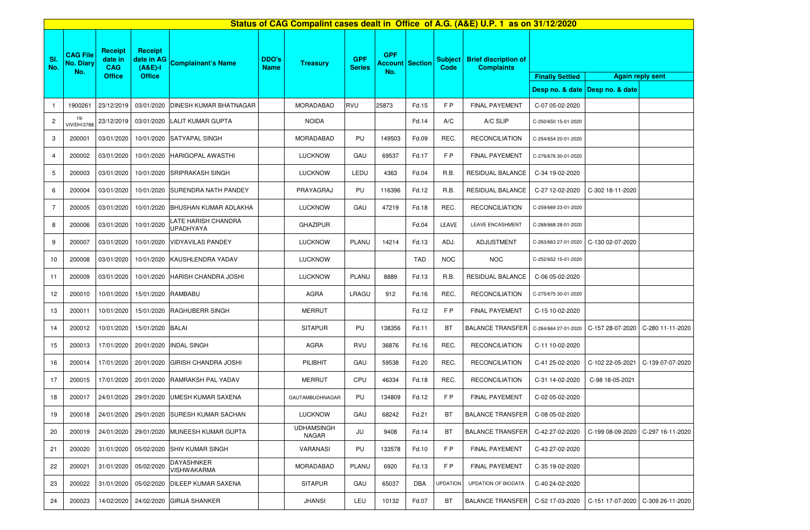| Status of CAG Compalint cases dealt in Office of A.G. (A&E) U.P. 1 as on 31/12/2020 |                                            |                                         |                                           |                                 |                             |                            |                             |                   |                        |                        |                                                  |                        |                                   |                         |
|-------------------------------------------------------------------------------------|--------------------------------------------|-----------------------------------------|-------------------------------------------|---------------------------------|-----------------------------|----------------------------|-----------------------------|-------------------|------------------------|------------------------|--------------------------------------------------|------------------------|-----------------------------------|-------------------------|
| SI.<br>No.                                                                          | <b>CAG File</b><br><b>No. Diary</b><br>No. | <b>Receipt</b><br>date in<br><b>CAG</b> | <b>Receipt</b><br>date in AG<br>$(A&E)-I$ | Complainant's Name              | <b>DDO's</b><br><b>Name</b> | <b>Treasury</b>            | <b>GPF</b><br><b>Series</b> | <b>GPF</b><br>No. | <b>Account Section</b> | <b>Subject</b><br>Code | <b>Brief discription of</b><br><b>Complaints</b> |                        |                                   |                         |
|                                                                                     |                                            | <b>Office</b>                           | <b>Office</b>                             |                                 |                             |                            |                             |                   |                        |                        |                                                  | <b>Finally Settled</b> |                                   | <b>Again reply sent</b> |
|                                                                                     |                                            |                                         |                                           |                                 |                             |                            |                             |                   |                        |                        |                                                  |                        | Desp no. & date   Desp no. & date |                         |
| $\mathbf{1}$                                                                        | 1900261                                    | 23/12/2019                              | 03/01/2020                                | DINESH KUMAR BHATNAGAR          |                             | MORADABAD                  | RVU                         | 25873             | Fd.15                  | FP                     | <b>FINAL PAYEMENT</b>                            | C-07 05-02-2020        |                                   |                         |
| $\overline{c}$                                                                      | $19 -$<br><b>VIVIDH/3788</b>               | 23/12/2019                              | 03/01/2020                                | LALIT KUMAR GUPTA               |                             | <b>NOIDA</b>               |                             |                   | Fd.14                  | A/C                    | A/C SLIP                                         | C-250/650 15-01-2020   |                                   |                         |
| 3                                                                                   | 200001                                     | 03/01/2020                              | 10/01/2020                                | SATYAPAL SINGH                  |                             | MORADABAD                  | PU                          | 149503            | Fd.09                  | REC.                   | <b>RECONCILIATION</b>                            | C-254/654 20-01-2020   |                                   |                         |
| 4                                                                                   | 200002                                     | 03/01/2020                              | 10/01/2020                                | HARIGOPAL AWASTHI               |                             | <b>LUCKNOW</b>             | GAU                         | 69537             | Fd.17                  | FP                     | FINAL PAYEMENT                                   | C-276/676 30-01-2020   |                                   |                         |
| 5                                                                                   | 200003                                     | 03/01/2020                              | 10/01/2020                                | <b>SRIPRAKASH SINGH</b>         |                             | <b>LUCKNOW</b>             | LEDU                        | 4363              | Fd.04                  | R.B.                   | RESIDUAL BALANCE                                 | C-34 19-02-2020        |                                   |                         |
| 6                                                                                   | 200004                                     | 03/01/2020                              | 10/01/2020                                | SURENDRA NATH PANDEY            |                             | PRAYAGRAJ                  | PU                          | 116396            | Fd.12                  | R.B.                   | RESIDUAL BALANCE                                 | C-27 12-02-2020        | C-302 18-11-2020                  |                         |
| $\overline{7}$                                                                      | 200005                                     | 03/01/2020                              | 10/01/2020                                | BHUSHAN KUMAR ADLAKHA           |                             | <b>LUCKNOW</b>             | GAU                         | 47219             | Fd.18                  | REC.                   | <b>RECONCILIATION</b>                            | C-259/669 23-01-2020   |                                   |                         |
| 8                                                                                   | 200006                                     | 03/01/2020                              | 10/01/2020                                | ATE HARISH CHANDRA<br>UPADHYAYA |                             | <b>GHAZIPUR</b>            |                             |                   | Fd.04                  | LEAVE                  | LEAVE ENCASHMENT                                 | C-268/668 28-01-2020   |                                   |                         |
| 9                                                                                   | 200007                                     | 03/01/2020                              | 10/01/2020                                | <b>VIDYAVILAS PANDEY</b>        |                             | <b>LUCKNOW</b>             | <b>PLANU</b>                | 14214             | Fd.13                  | ADJ.                   | ADJUSTMENT                                       | C-263/663 27-01-2020   | C-130 02-07-2020                  |                         |
| 10                                                                                  | 200008                                     | 03/01/2020                              | 10/01/2020                                | KAUSHLENDRA YADAV               |                             | <b>LUCKNOW</b>             |                             |                   | <b>TAD</b>             | <b>NOC</b>             | <b>NOC</b>                                       | C-252/652 15-01-2020   |                                   |                         |
| 11                                                                                  | 200009                                     | 03/01/2020                              | 10/01/2020                                | HARISH CHANDRA JOSHI            |                             | <b>LUCKNOW</b>             | <b>PLANU</b>                | 8889              | Fd.13                  | R.B.                   | RESIDUAL BALANCE                                 | C-06 05-02-2020        |                                   |                         |
| 12                                                                                  | 200010                                     | 10/01/2020                              | 15/01/2020                                | <b>RAMBABU</b>                  |                             | AGRA                       | LRAGU                       | 912               | Fd.16                  | REC.                   | <b>RECONCILIATION</b>                            | C-275/675 30-01-2020   |                                   |                         |
| 13                                                                                  | 200011                                     | 10/01/2020                              | 15/01/2020                                | RAGHUBERR SINGH                 |                             | <b>MERRUT</b>              |                             |                   | Fd.12                  | FP                     | <b>FINAL PAYEMENT</b>                            | C-15 10-02-2020        |                                   |                         |
| 14                                                                                  | 200012                                     | 10/01/2020                              | 15/01/2020                                | <b>BALAI</b>                    |                             | <b>SITAPUR</b>             | PU                          | 138356            | Fd.11                  | BT                     | <b>BALANCE TRANSFER</b>                          | C-264/664 27-01-2020   | C-157 28-07-2020                  | C-280 11-11-2020        |
| 15                                                                                  | 200013                                     | 17/01/2020                              | 20/01/2020                                | INDAL SINGH                     |                             | AGRA                       | RVU                         | 36876             | Fd.16                  | REC.                   | <b>RECONCILIATION</b>                            | C-11 10-02-2020        |                                   |                         |
| 16                                                                                  | 200014                                     | 17/01/2020                              | 20/01/2020                                | <b>GIRISH CHANDRA JOSHI</b>     |                             | PILIBHIT                   | GAU                         | 59538             | Fd.20                  | REC.                   | <b>RECONCILIATION</b>                            | C-41 25-02-2020        | C-102 22-05-2021                  | C-139 07-07-2020        |
| 17                                                                                  | 200015                                     | 17/01/2020                              | 20/01/2020                                | RAMRAKSH PAL YADAV              |                             | <b>MERRUT</b>              | CPU                         | 46334             | Fd.18                  | REC.                   | <b>RECONCILIATION</b>                            | C-31 14-02-2020        | C-98 18-05-2021                   |                         |
| 18                                                                                  | 200017                                     | 24/01/2020                              | 29/01/2020                                | UMESH KUMAR SAXENA              |                             | GAUTAMBUDHNAGAR            | PU                          | 134809            | Fd.12                  | F P                    | <b>FINAL PAYEMENT</b>                            | C-02 05-02-2020        |                                   |                         |
| 19                                                                                  | 200018                                     | 24/01/2020                              | 29/01/2020                                | <b>SURESH KUMAR SACHAN</b>      |                             | <b>LUCKNOW</b>             | GAU                         | 68242             | Fd.21                  | BT                     | <b>BALANCE TRANSFER</b>                          | C-08 05-02-2020        |                                   |                         |
| 20                                                                                  | 200019                                     | 24/01/2020                              | 29/01/2020                                | MUNEESH KUMAR GUPTA             |                             | <b>UDHAMSINGH</b><br>NAGAR | JU                          | 9408              | Fd.14                  | BT                     | <b>BALANCE TRANSFER</b>                          | C-42 27-02-2020        | C-199 08-09-2020                  | C-297 16-11-2020        |
| 21                                                                                  | 200020                                     | 31/01/2020                              | 05/02/2020                                | <b>SHIV KUMAR SINGH</b>         |                             | VARANASI                   | PU                          | 133578            | Fd.10                  | F P                    | <b>FINAL PAYEMENT</b>                            | C-43 27-02-2020        |                                   |                         |
| 22                                                                                  | 200021                                     | 31/01/2020                              | 05/02/2020                                | DAYASHNKER<br>VISHWAKARMA       |                             | <b>MORADABAD</b>           | PLANU                       | 6920              | Fd.13                  | F P                    | <b>FINAL PAYEMENT</b>                            | C-35 19-02-2020        |                                   |                         |
| 23                                                                                  | 200022                                     | 31/01/2020                              | 05/02/2020                                | DILEEP KUMAR SAXENA             |                             | <b>SITAPUR</b>             | GAU                         | 65037             | DBA                    | <b>UPDATION</b>        | UPDATION OF BIODATA                              | C-40 24-02-2020        |                                   |                         |
| 24                                                                                  | 200023                                     | 14/02/2020                              | 24/02/2020                                | <b>GIRIJA SHANKER</b>           |                             | <b>JHANSI</b>              | LEU                         | 10132             | Fd.07                  | BT                     | <b>BALANCE TRANSFER</b>                          | C-52 17-03-2020        | C-151 17-07-2020                  | C-309 26-11-2020        |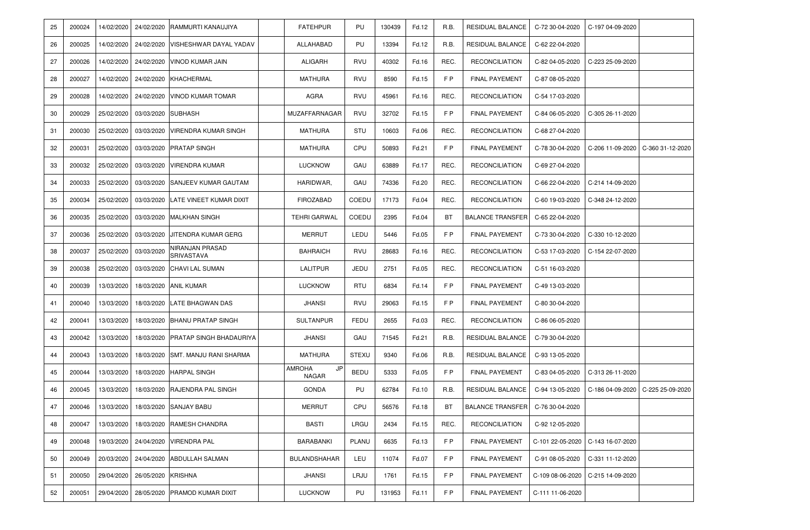| 25  | 200024 | 14/02/2020 | 24/02/2020 | RAMMURTI KANAUJIYA                | <b>FATEHPUR</b>                     | PU           | 130439 | Fd.12 | R.B. | <b>RESIDUAL BALANCE</b>            | C-72 30-04-2020  | C-197 04-09-2020                  |                  |
|-----|--------|------------|------------|-----------------------------------|-------------------------------------|--------------|--------|-------|------|------------------------------------|------------------|-----------------------------------|------------------|
| 26  | 200025 | 14/02/2020 | 24/02/2020 | VISHESHWAR DAYAL YADAV            | ALLAHABAD                           | PU           | 13394  | Fd.12 | R.B. | <b>RESIDUAL BALANCE</b>            | C-62 22-04-2020  |                                   |                  |
| 27  | 200026 | 14/02/2020 | 24/02/2020 | <b>VINOD KUMAR JAIN</b>           | <b>ALIGARH</b>                      | <b>RVU</b>   | 40302  | Fd.16 | REC. | <b>RECONCILIATION</b>              | C-82 04-05-2020  | C-223 25-09-2020                  |                  |
| 28  | 200027 | 14/02/2020 | 24/02/2020 | KHACHERMAL                        | <b>MATHURA</b>                      | RVU          | 8590   | Fd.15 | F P  | <b>FINAL PAYEMENT</b>              | C-87 08-05-2020  |                                   |                  |
| 29  | 200028 | 14/02/2020 | 24/02/2020 | VINOD KUMAR TOMAR                 | <b>AGRA</b>                         | RVU          | 45961  | Fd.16 | REC. | <b>RECONCILIATION</b>              | C-54 17-03-2020  |                                   |                  |
| -30 | 200029 | 25/02/2020 | 03/03/2020 | <b>SUBHASH</b>                    | MUZAFFARNAGAR                       | RVU          | 32702  | Fd.15 | F P  | <b>FINAL PAYEMENT</b>              | C-84 06-05-2020  | C-305 26-11-2020                  |                  |
| 31  | 200030 | 25/02/2020 | 03/03/2020 | <b>VIRENDRA KUMAR SINGH</b>       | <b>MATHURA</b>                      | STU          | 10603  | Fd.06 | REC. | <b>RECONCILIATION</b>              | C-68 27-04-2020  |                                   |                  |
| 32  | 200031 | 25/02/2020 | 03/03/2020 | <b>PRATAP SINGH</b>               | <b>MATHURA</b>                      | CPU          | 50893  | Fd.21 | F P  | <b>FINAL PAYEMENT</b>              | C-78 30-04-2020  | C-206 11-09-2020                  | C-360 31-12-2020 |
| 33  | 200032 | 25/02/2020 | 03/03/2020 | VIRENDRA KUMAR                    | <b>LUCKNOW</b>                      | GAU          | 63889  | Fd.17 | REC. | <b>RECONCILIATION</b>              | C-69 27-04-2020  |                                   |                  |
| 34  | 200033 | 25/02/2020 | 03/03/2020 | <b>SANJEEV KUMAR GAUTAM</b>       | HARIDWAR,                           | GAU          | 74336  | Fd.20 | REC. | <b>RECONCILIATION</b>              | C-66 22-04-2020  | C-214 14-09-2020                  |                  |
| 35  | 200034 | 25/02/2020 | 03/03/2020 | LATE VINEET KUMAR DIXIT           | <b>FIROZABAD</b>                    | COEDU        | 17173  | Fd.04 | REC. | <b>RECONCILIATION</b>              | C-60 19-03-2020  | C-348 24-12-2020                  |                  |
| 36  | 200035 | 25/02/2020 | 03/03/2020 | <b>MALKHAN SINGH</b>              | <b>TEHRI GARWAL</b>                 | COEDU        | 2395   | Fd.04 | BT   | <b>BALANCE TRANSFER</b>            | C-65 22-04-2020  |                                   |                  |
| 37  | 200036 | 25/02/2020 | 03/03/2020 | JITENDRA KUMAR GERG               | <b>MERRUT</b>                       | LEDU         | 5446   | Fd.05 | F P  | <b>FINAL PAYEMENT</b>              | C-73 30-04-2020  | C-330 10-12-2020                  |                  |
| 38  | 200037 | 25/02/2020 | 03/03/2020 | NIRANJAN PRASAD<br>SRIVASTAVA     | <b>BAHRAICH</b>                     | RVU          | 28683  | Fd.16 | REC. | <b>RECONCILIATION</b>              | C-53 17-03-2020  | C-154 22-07-2020                  |                  |
| 39  | 200038 | 25/02/2020 | 03/03/2020 | <b>CHAVI LAL SUMAN</b>            | LALITPUR                            | JEDU         | 2751   | Fd.05 | REC. | <b>RECONCILIATION</b>              | C-51 16-03-2020  |                                   |                  |
| 40  | 200039 | 13/03/2020 | 18/03/2020 | <b>ANIL KUMAR</b>                 | <b>LUCKNOW</b>                      | RTU          | 6834   | Fd.14 | F P  | <b>FINAL PAYEMENT</b>              | C-49 13-03-2020  |                                   |                  |
| 41  | 200040 | 13/03/2020 | 18/03/2020 | LATE BHAGWAN DAS                  | <b>JHANSI</b>                       | RVU          | 29063  | Fd.15 | F P  | <b>FINAL PAYEMENT</b>              | C-80 30-04-2020  |                                   |                  |
| 42  | 200041 | 13/03/2020 | 18/03/2020 | <b>BHANU PRATAP SINGH</b>         | <b>SULTANPUR</b>                    | <b>FEDU</b>  | 2655   | Fd.03 | REC. | <b>RECONCILIATION</b>              | C-86 06-05-2020  |                                   |                  |
| 43  | 200042 | 13/03/2020 | 18/03/2020 | PRATAP SINGH BHADAURIYA           | <b>JHANSI</b>                       | GAU          | 71545  | Fd.21 | R.B. | RESIDUAL BALANCE                   | C-79 30-04-2020  |                                   |                  |
| 44  | 200043 | 13/03/2020 | 18/03/2020 | <b>SMT. MANJU RANI SHARMA</b>     | <b>MATHURA</b>                      | <b>STEXU</b> | 9340   | Fd.06 | R.B. | <b>RESIDUAL BALANCE</b>            | C-93 13-05-2020  |                                   |                  |
| 45  | 200044 | 13/03/2020 | 18/03/2020 | <b>HARPAL SINGH</b>               | <b>AMROHA</b><br>JP<br><b>NAGAR</b> | <b>BEDU</b>  | 5333   | Fd.05 | F P  | <b>FINAL PAYEMENT</b>              | C-83 04-05-2020  | C-313 26-11-2020                  |                  |
| 46  | 200045 | 13/03/2020 | 18/03/2020 | <b>RAJENDRA PAL SINGH</b>         | <b>GONDA</b>                        | PU           | 62784  | Fd.10 | R.B. | RESIDUAL BALANCE                   | C-94 13-05-2020  | C-186 04-09-2020                  | C-225 25-09-2020 |
| 47  | 200046 |            |            | 13/03/2020 18/03/2020 SANJAY BABU | <b>MERRUT</b>                       | CPU          | 56576  | Fd.18 | BT   | BALANCE TRANSFER   C-76 30-04-2020 |                  |                                   |                  |
| 48  | 200047 | 13/03/2020 | 18/03/2020 | <b>RAMESH CHANDRA</b>             | <b>BASTI</b>                        | LRGU         | 2434   | Fd.15 | REC. | <b>RECONCILIATION</b>              | C-92 12-05-2020  |                                   |                  |
| 49  | 200048 | 19/03/2020 | 24/04/2020 | <b>VIRENDRA PAL</b>               | <b>BARABANKI</b>                    | PLANU        | 6635   | Fd.13 | F P  | <b>FINAL PAYEMENT</b>              |                  | C-101 22-05-2020 C-143 16-07-2020 |                  |
| 50  | 200049 | 20/03/2020 | 24/04/2020 | <b>ABDULLAH SALMAN</b>            | <b>BULANDSHAHAR</b>                 | LEU          | 11074  | Fd.07 | F P  | <b>FINAL PAYEMENT</b>              | C-91 08-05-2020  | C-331 11-12-2020                  |                  |
| 51  | 200050 | 29/04/2020 | 26/05/2020 | <b>KRISHNA</b>                    | <b>JHANSI</b>                       | LRJU         | 1761   | Fd.15 | F P  | <b>FINAL PAYEMENT</b>              | C-109 08-06-2020 | C-215 14-09-2020                  |                  |
| 52  | 200051 | 29/04/2020 | 28/05/2020 | <b>PRAMOD KUMAR DIXIT</b>         | <b>LUCKNOW</b>                      | PU           | 131953 | Fd.11 | F P  | <b>FINAL PAYEMENT</b>              | C-111 11-06-2020 |                                   |                  |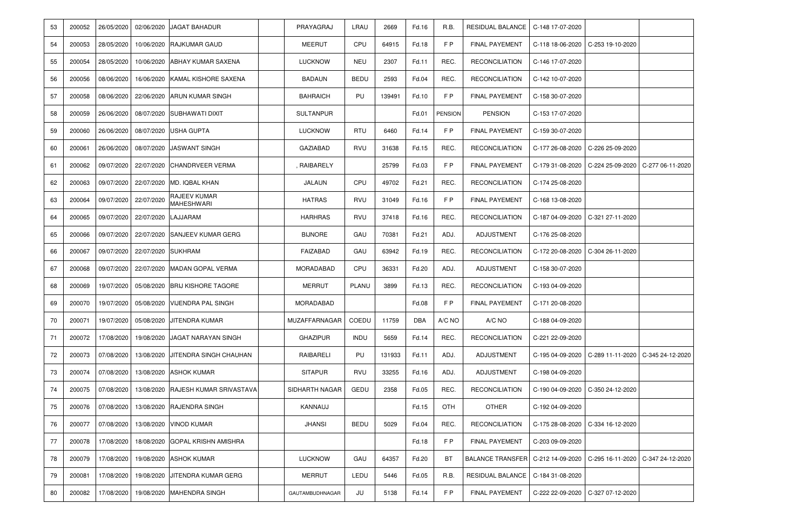| 53 | 200052 | 26/05/2020 | 02/06/2020 | <b>JAGAT BAHADUR</b>                 | PRAYAGRAJ        | LRAU         | 2669   | Fd.16 | R.B.           | RESIDUAL BALANCE   C-148 17-07-2020 |                  |                  |                  |
|----|--------|------------|------------|--------------------------------------|------------------|--------------|--------|-------|----------------|-------------------------------------|------------------|------------------|------------------|
| 54 | 200053 | 28/05/2020 | 10/06/2020 | <b>RAJKUMAR GAUD</b>                 | <b>MEERUT</b>    | CPU          | 64915  | Fd.18 | F P            | <b>FINAL PAYEMENT</b>               | C-118 18-06-2020 | C-253 19-10-2020 |                  |
| 55 | 200054 | 28/05/2020 | 10/06/2020 | ABHAY KUMAR SAXENA                   | <b>LUCKNOW</b>   | <b>NEU</b>   | 2307   | Fd.11 | REC.           | <b>RECONCILIATION</b>               | C-146 17-07-2020 |                  |                  |
| 56 | 200056 | 08/06/2020 | 16/06/2020 | KAMAL KISHORE SAXENA                 | BADAUN           | BEDU         | 2593   | Fd.04 | REC.           | <b>RECONCILIATION</b>               | C-142 10-07-2020 |                  |                  |
| 57 | 200058 | 08/06/2020 | 22/06/2020 | ARUN KUMAR SINGH                     | <b>BAHRAICH</b>  | PU           | 139491 | Fd.10 | F P            | <b>FINAL PAYEMENT</b>               | C-158 30-07-2020 |                  |                  |
| 58 | 200059 | 26/06/2020 | 08/07/2020 | <b>SUBHAWATI DIXIT</b>               | <b>SULTANPUR</b> |              |        | Fd.01 | <b>PENSION</b> | <b>PENSION</b>                      | C-153 17-07-2020 |                  |                  |
| 59 | 200060 | 26/06/2020 | 08/07/2020 | <b>USHA GUPTA</b>                    | <b>LUCKNOW</b>   | <b>RTU</b>   | 6460   | Fd.14 | F P            | <b>FINAL PAYEMENT</b>               | C-159 30-07-2020 |                  |                  |
| 60 | 200061 | 26/06/2020 | 08/07/2020 | <b>JASWANT SINGH</b>                 | GAZIABAD         | <b>RVU</b>   | 31638  | Fd.15 | REC.           | <b>RECONCILIATION</b>               | C-177 26-08-2020 | C-226 25-09-2020 |                  |
| 61 | 200062 | 09/07/2020 | 22/07/2020 | <b>CHANDRVEER VERMA</b>              | , RAIBARELY      |              | 25799  | Fd.03 | F P            | <b>FINAL PAYEMENT</b>               | C-179 31-08-2020 | C-224 25-09-2020 | C-277 06-11-2020 |
| 62 | 200063 | 09/07/2020 | 22/07/2020 | <b>MD. IQBAL KHAN</b>                | JALAUN           | CPU          | 49702  | Fd.21 | REC.           | <b>RECONCILIATION</b>               | C-174 25-08-2020 |                  |                  |
| 63 | 200064 | 09/07/2020 | 22/07/2020 | RAJEEV KUMAR<br><b>MAHESHWARI</b>    | <b>HATRAS</b>    | <b>RVU</b>   | 31049  | Fd.16 | FP             | <b>FINAL PAYEMENT</b>               | C-168 13-08-2020 |                  |                  |
| 64 | 200065 | 09/07/2020 | 22/07/2020 | LAJJARAM                             | <b>HARHRAS</b>   | RVU          | 37418  | Fd.16 | REC.           | <b>RECONCILIATION</b>               | C-187 04-09-2020 | C-321 27-11-2020 |                  |
| 65 | 200066 | 09/07/2020 | 22/07/2020 | <b>SANJEEV KUMAR GERG</b>            | <b>BIJNORE</b>   | GAU          | 70381  | Fd.21 | ADJ.           | ADJUSTMENT                          | C-176 25-08-2020 |                  |                  |
| 66 | 200067 | 09/07/2020 | 22/07/2020 | <b>SUKHRAM</b>                       | FAIZABAD         | GAU          | 63942  | Fd.19 | REC.           | <b>RECONCILIATION</b>               | C-172 20-08-2020 | C-304 26-11-2020 |                  |
| 67 | 200068 | 09/07/2020 | 22/07/2020 | MADAN GOPAL VERMA                    | MORADABAD        | CPU          | 36331  | Fd.20 | ADJ.           | ADJUSTMENT                          | C-158 30-07-2020 |                  |                  |
| 68 | 200069 | 19/07/2020 | 05/08/2020 | <b>BRIJ KISHORE TAGORE</b>           | MERRUT           | <b>PLANU</b> | 3899   | Fd.13 | REC.           | <b>RECONCILIATION</b>               | C-193 04-09-2020 |                  |                  |
| 69 | 200070 | 19/07/2020 | 05/08/2020 | <b>VIJENDRA PAL SINGH</b>            | MORADABAD        |              |        | Fd.08 | FP             | <b>FINAL PAYEMENT</b>               | C-171 20-08-2020 |                  |                  |
| 70 | 200071 | 19/07/2020 | 05/08/2020 | JITENDRA KUMAR                       | MUZAFFARNAGAR    | COEDU        | 11759  | DBA   | A/C NO         | A/C NO                              | C-188 04-09-2020 |                  |                  |
| 71 | 200072 | 17/08/2020 | 19/08/2020 | JAGAT NARAYAN SINGH                  | <b>GHAZIPUR</b>  | <b>INDU</b>  | 5659   | Fd.14 | REC.           | <b>RECONCILIATION</b>               | C-221 22-09-2020 |                  |                  |
| 72 | 200073 | 07/08/2020 | 13/08/2020 | JITENDRA SINGH CHAUHAN               | RAIBARELI        | PU           | 131933 | Fd.11 | ADJ.           | ADJUSTMENT                          | C-195 04-09-2020 | C-289 11-11-2020 | C-345 24-12-2020 |
| 73 | 200074 | 07/08/2020 | 13/08/2020 | <b>ASHOK KUMAR</b>                   | <b>SITAPUR</b>   | <b>RVU</b>   | 33255  | Fd.16 | ADJ.           | ADJUSTMENT                          | C-198 04-09-2020 |                  |                  |
| 74 | 200075 | 07/08/2020 | 13/08/2020 | RAJESH KUMAR SRIVASTAVA              | SIDHARTH NAGAR   | GEDU         | 2358   | Fd.05 | REC.           | <b>RECONCILIATION</b>               | C-190 04-09-2020 | C-350 24-12-2020 |                  |
| 75 | 200076 |            |            | 07/08/2020 13/08/2020 RAJENDRA SINGH | KANNAUJ          |              |        | Fd.15 | OTH            | <b>OTHER</b>                        | C-192 04-09-2020 |                  |                  |
| 76 | 200077 | 07/08/2020 | 13/08/2020 | <b>VINOD KUMAR</b>                   | <b>JHANSI</b>    | BEDU         | 5029   | Fd.04 | REC.           | <b>RECONCILIATION</b>               | C-175 28-08-2020 | C-334 16-12-2020 |                  |
| 77 | 200078 | 17/08/2020 | 18/08/2020 | <b>GOPAL KRISHN AMISHRA</b>          |                  |              |        | Fd.18 | FP             | <b>FINAL PAYEMENT</b>               | C-203 09-09-2020 |                  |                  |
| 78 | 200079 | 17/08/2020 | 19/08/2020 | <b>ASHOK KUMAR</b>                   | <b>LUCKNOW</b>   | GAU          | 64357  | Fd.20 | BT             | <b>BALANCE TRANSFER</b>             | C-212 14-09-2020 | C-295 16-11-2020 | C-347 24-12-2020 |
| 79 | 200081 | 17/08/2020 | 19/08/2020 | JITENDRA KUMAR GERG                  | <b>MERRUT</b>    | LEDU         | 5446   | Fd.05 | R.B.           | RESIDUAL BALANCE                    | C-184 31-08-2020 |                  |                  |
| 80 | 200082 | 17/08/2020 | 19/08/2020 | <b>MAHENDRA SINGH</b>                | GAUTAMBUDHNAGAR  | JU           | 5138   | Fd.14 | F P            | <b>FINAL PAYEMENT</b>               | C-222 22-09-2020 | C-327 07-12-2020 |                  |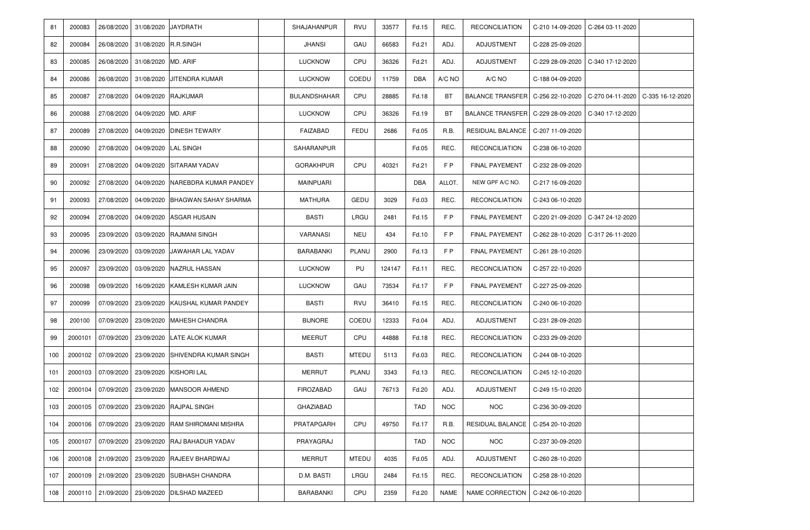| 81  | 200083  | 26/08/2020 | 31/08/2020 | <b>JAYDRATH</b>                            | SHAJAHANPUR         | RVU          | 33577  | Fd.15      | REC.       | <b>RECONCILIATION</b>   | C-210 14-09-2020 | C-264 03-11-2020 |                  |
|-----|---------|------------|------------|--------------------------------------------|---------------------|--------------|--------|------------|------------|-------------------------|------------------|------------------|------------------|
| 82  | 200084  | 26/08/2020 | 31/08/2020 | <b>R.R.SINGH</b>                           | <b>JHANSI</b>       | GAU          | 66583  | Fd.21      | ADJ.       | ADJUSTMENT              | C-228 25-09-2020 |                  |                  |
| 83  | 200085  | 26/08/2020 | 31/08/2020 | MD. ARIF                                   | LUCKNOW             | CPU          | 36326  | Fd.21      | ADJ.       | ADJUSTMENT              | C-229 28-09-2020 | C-340 17-12-2020 |                  |
| 84  | 200086  | 26/08/2020 | 31/08/2020 | <b>JITENDRA KUMAR</b>                      | LUCKNOW             | COEDU        | 11759  | DBA        | A/C NO     | A/C NO                  | C-188 04-09-2020 |                  |                  |
| 85  | 200087  | 27/08/2020 | 04/09/2020 | <b>RAJKUMAR</b>                            | <b>BULANDSHAHAR</b> | CPU          | 28885  | Fd.18      | BT         | <b>BALANCE TRANSFER</b> | C-256 22-10-2020 | C-270 04-11-2020 | C-335 16-12-2020 |
| 86  | 200088  | 27/08/2020 | 04/09/2020 | MD. ARIF                                   | <b>LUCKNOW</b>      | CPU          | 36326  | Fd.19      | ВT         | <b>BALANCE TRANSFER</b> | C-229 28-09-2020 | C-340 17-12-2020 |                  |
| 87  | 200089  | 27/08/2020 | 04/09/2020 | <b>DINESH TEWARY</b>                       | FAIZABAD            | <b>FEDU</b>  | 2686   | Fd.05      | R.B.       | RESIDUAL BALANCE        | C-207 11-09-2020 |                  |                  |
| 88  | 200090  | 27/08/2020 | 04/09/2020 | <b>LAL SINGH</b>                           | SAHARANPUR          |              |        | Fd.05      | REC.       | <b>RECONCILIATION</b>   | C-238 06-10-2020 |                  |                  |
| 89  | 200091  | 27/08/2020 | 04/09/2020 | <b>SITARAM YADAV</b>                       | <b>GORAKHPUR</b>    | CPU          | 40321  | Fd.21      | F P        | <b>FINAL PAYEMENT</b>   | C-232 28-09-2020 |                  |                  |
| 90  | 200092  | 27/08/2020 | 04/09/2020 | NAREBDRA KUMAR PANDEY                      | MAINPUARI           |              |        | DBA        | ALLOT.     | NEW GPF A/C NO.         | C-217 16-09-2020 |                  |                  |
| 91  | 200093  | 27/08/2020 | 04/09/2020 | BHAGWAN SAHAY SHARMA                       | <b>MATHURA</b>      | GEDU         | 3029   | Fd.03      | REC.       | <b>RECONCILIATION</b>   | C-243 06-10-2020 |                  |                  |
| 92  | 200094  | 27/08/2020 | 04/09/2020 | <b>ASGAR HUSAIN</b>                        | <b>BASTI</b>        | LRGU         | 2481   | Fd.15      | F P        | <b>FINAL PAYEMENT</b>   | C-220 21-09-2020 | C-347 24-12-2020 |                  |
| 93  | 200095  | 23/09/2020 | 03/09/2020 | <b>RAJMANI SINGH</b>                       | VARANASI            | <b>NEU</b>   | 434    | Fd.10      | F P        | <b>FINAL PAYEMENT</b>   | C-262 28-10-2020 | C-317 26-11-2020 |                  |
| 94  | 200096  | 23/09/2020 | 03/09/2020 | JAWAHAR LAL YADAV                          | <b>BARABANKI</b>    | PLANU        | 2900   | Fd.13      | FP         | FINAL PAYEMENT          | C-261 28-10-2020 |                  |                  |
| 95  | 200097  | 23/09/2020 | 03/09/2020 | <b>NAZRUL HASSAN</b>                       | <b>LUCKNOW</b>      | PU           | 124147 | Fd.11      | REC.       | <b>RECONCILIATION</b>   | C-257 22-10-2020 |                  |                  |
| 96  | 200098  | 09/09/2020 | 16/09/2020 | KAMLESH KUMAR JAIN                         | <b>LUCKNOW</b>      | GAU          | 73534  | Fd.17      | F P        | <b>FINAL PAYEMENT</b>   | C-227 25-09-2020 |                  |                  |
| 97  | 200099  | 07/09/2020 | 23/09/2020 | KAUSHAL KUMAR PANDEY                       | <b>BASTI</b>        | RVU          | 36410  | Fd.15      | REC.       | <b>RECONCILIATION</b>   | C-240 06-10-2020 |                  |                  |
| 98  | 200100  | 07/09/2020 | 23/09/2020 | <b>MAHESH CHANDRA</b>                      | <b>BIJNORE</b>      | COEDU        | 12333  | Fd.04      | ADJ.       | ADJUSTMENT              | C-231 28-09-2020 |                  |                  |
| 99  | 2000101 | 07/09/2020 | 23/09/2020 | LATE ALOK KUMAR                            | MEERUT              | CPU          | 44888  | Fd.18      | REC.       | <b>RECONCILIATION</b>   | C-233 29-09-2020 |                  |                  |
| 100 | 2000102 | 07/09/2020 | 23/09/2020 | SHIVENDRA KUMAR SINGH                      | <b>BASTI</b>        | <b>MTEDU</b> | 5113   | Fd.03      | REC.       | <b>RECONCILIATION</b>   | C-244 08-10-2020 |                  |                  |
| 101 | 2000103 | 07/09/2020 | 23/09/2020 | <b>KISHORI LAL</b>                         | <b>MERRUT</b>       | <b>PLANU</b> | 3343   | Fd.13      | REC.       | <b>RECONCILIATION</b>   | C-245 12-10-2020 |                  |                  |
| 102 | 2000104 | 07/09/2020 | 23/09/2020 | <b>MANSOOR AHMEND</b>                      | <b>FIROZABAD</b>    | GAU          | 76713  | Fd.20      | ADJ.       | ADJUSTMENT              | C-249 15-10-2020 |                  |                  |
| 103 |         |            |            | 2000105 07/09/2020 23/09/2020 RAJPAL SINGH | GHAZIABAD           |              |        | TAD        | <b>NOC</b> | <b>NOC</b>              | C-236 30-09-2020 |                  |                  |
| 104 | 2000106 | 07/09/2020 | 23/09/2020 | <b>RAM SHIROMANI MISHRA</b>                | PRATAPGARH          | CPU          | 49750  | Fd.17      | R.B.       | RESIDUAL BALANCE        | C-254 20-10-2020 |                  |                  |
| 105 | 2000107 | 07/09/2020 | 23/09/2020 | RAJ BAHADUR YADAV                          | PRAYAGRAJ           |              |        | <b>TAD</b> | <b>NOC</b> | <b>NOC</b>              | C-237 30-09-2020 |                  |                  |
| 106 | 2000108 | 21/09/2020 | 23/09/2020 | RAJEEV BHARDWAJ                            | MERRUT              | <b>MTEDU</b> | 4035   | Fd.05      | ADJ.       | ADJUSTMENT              | C-260 28-10-2020 |                  |                  |
| 107 | 2000109 | 21/09/2020 | 23/09/2020 | <b>SUBHASH CHANDRA</b>                     | D.M. BASTI          | LRGU         | 2484   | Fd.15      | REC.       | <b>RECONCILIATION</b>   | C-258 28-10-2020 |                  |                  |
| 108 | 2000110 | 21/09/2020 | 23/09/2020 | DILSHAD MAZEED                             | BARABANKI           | CPU          | 2359   | Fd.20      | NAME       | NAME CORRECTION         | C-242 06-10-2020 |                  |                  |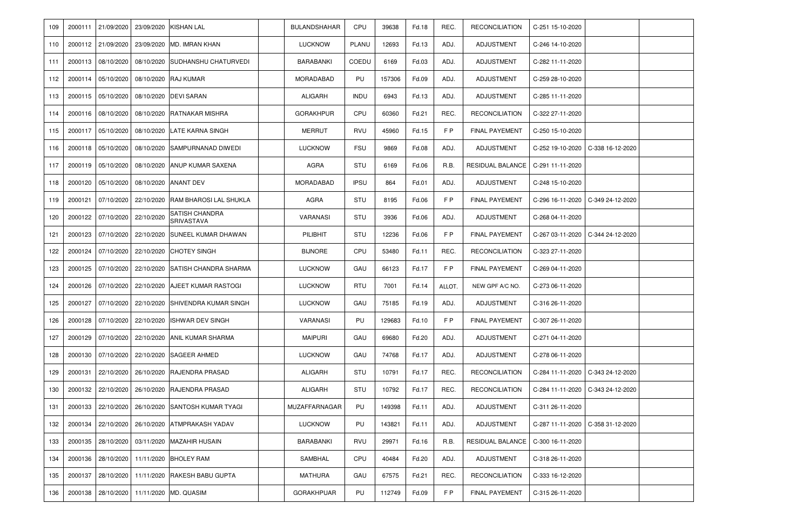| 109 | 2000111 | 21/09/2020 | 23/09/2020 | <b>KISHAN LAL</b>                                 | <b>BULANDSHAHAR</b> | CPU          | 39638  | Fd.18 | REC.   | <b>RECONCILIATION</b> | C-251 15-10-2020 |                                     |  |
|-----|---------|------------|------------|---------------------------------------------------|---------------------|--------------|--------|-------|--------|-----------------------|------------------|-------------------------------------|--|
| 110 | 2000112 | 21/09/2020 | 23/09/2020 | <b>MD. IMRAN KHAN</b>                             | <b>LUCKNOW</b>      | <b>PLANU</b> | 12693  | Fd.13 | ADJ.   | <b>ADJUSTMENT</b>     | C-246 14-10-2020 |                                     |  |
| 111 | 2000113 | 08/10/2020 | 08/10/2020 | SUDHANSHU CHATURVEDI                              | <b>BARABANKI</b>    | COEDU        | 6169   | Fd.03 | ADJ.   | ADJUSTMENT            | C-282 11-11-2020 |                                     |  |
| 112 | 2000114 | 05/10/2020 | 08/10/2020 | <b>RAJ KUMAR</b>                                  | MORADABAD           | PU           | 157306 | Fd.09 | ADJ.   | ADJUSTMENT            | C-259 28-10-2020 |                                     |  |
| 113 | 2000115 | 05/10/2020 | 08/10/2020 | <b>DEVI SARAN</b>                                 | ALIGARH             | <b>INDU</b>  | 6943   | Fd.13 | ADJ.   | ADJUSTMENT            | C-285 11-11-2020 |                                     |  |
| 114 | 2000116 | 08/10/2020 | 08/10/2020 | RATNAKAR MISHRA                                   | <b>GORAKHPUR</b>    | CPU          | 60360  | Fd.21 | REC.   | <b>RECONCILIATION</b> | C-322 27-11-2020 |                                     |  |
| 115 | 2000117 | 05/10/2020 | 08/10/2020 | LATE KARNA SINGH                                  | <b>MERRUT</b>       | <b>RVU</b>   | 45960  | Fd.15 | F P    | <b>FINAL PAYEMENT</b> | C-250 15-10-2020 |                                     |  |
| 116 | 2000118 | 05/10/2020 | 08/10/2020 | SAMPURNANAD DIWEDI                                | <b>LUCKNOW</b>      | <b>FSU</b>   | 9869   | Fd.08 | ADJ.   | ADJUSTMENT            | C-252 19-10-2020 | C-338 16-12-2020                    |  |
| 117 | 2000119 | 05/10/2020 | 08/10/2020 | <b>ANUP KUMAR SAXENA</b>                          | AGRA                | STU          | 6169   | Fd.06 | R.B.   | RESIDUAL BALANCE      | C-291 11-11-2020 |                                     |  |
| 118 | 2000120 | 05/10/2020 | 08/10/2020 | <b>ANANT DEV</b>                                  | MORADABAD           | <b>IPSU</b>  | 864    | Fd.01 | ADJ.   | ADJUSTMENT            | C-248 15-10-2020 |                                     |  |
| 119 | 2000121 | 07/10/2020 | 22/10/2020 | RAM BHAROSI LAL SHUKLA                            | AGRA                | STU          | 8195   | Fd.06 | FP     | <b>FINAL PAYEMENT</b> |                  | C-296 16-11-2020   C-349 24-12-2020 |  |
| 120 | 2000122 | 07/10/2020 | 22/10/2020 | SATISH CHANDRA<br><b>SRIVASTAVA</b>               | <b>VARANASI</b>     | STU          | 3936   | Fd.06 | ADJ.   | ADJUSTMENT            | C-268 04-11-2020 |                                     |  |
| 121 | 2000123 | 07/10/2020 | 22/10/2020 | SUNEEL KUMAR DHAWAN                               | PILIBHIT            | STU          | 12236  | Fd.06 | F P    | <b>FINAL PAYEMENT</b> | C-267 03-11-2020 | C-344 24-12-2020                    |  |
| 122 | 2000124 | 07/10/2020 | 22/10/2020 | <b>CHOTEY SINGH</b>                               | <b>BIJNORE</b>      | CPU          | 53480  | Fd.11 | REC.   | <b>RECONCILIATION</b> | C-323 27-11-2020 |                                     |  |
| 123 | 2000125 | 07/10/2020 | 22/10/2020 | <b>ISATISH CHANDRA SHARMA</b>                     | <b>LUCKNOW</b>      | GAU          | 66123  | Fd.17 | F P    | <b>FINAL PAYEMENT</b> | C-269 04-11-2020 |                                     |  |
| 124 | 2000126 | 07/10/2020 | 22/10/2020 | AJEET KUMAR RASTOGI                               | <b>LUCKNOW</b>      | RTU          | 7001   | Fd.14 | ALLOT. | NEW GPF A/C NO.       | C-273 06-11-2020 |                                     |  |
| 125 | 2000127 | 07/10/2020 | 22/10/2020 | SHIVENDRA KUMAR SINGH                             | <b>LUCKNOW</b>      | GAU          | 75185  | Fd.19 | ADJ.   | ADJUSTMENT            | C-316 26-11-2020 |                                     |  |
| 126 | 2000128 | 07/10/2020 | 22/10/2020 | <b>ISHWAR DEV SINGH</b>                           | VARANASI            | PU           | 129683 | Fd.10 | F P    | <b>FINAL PAYEMENT</b> | C-307 26-11-2020 |                                     |  |
| 127 | 2000129 | 07/10/2020 | 22/10/2020 | ANIL KUMAR SHARMA                                 | <b>MAIPURI</b>      | GAU          | 69680  | Fd.20 | ADJ.   | ADJUSTMENT            | C-271 04-11-2020 |                                     |  |
| 128 | 2000130 | 07/10/2020 | 22/10/2020 | <b>SAGEER AHMED</b>                               | <b>LUCKNOW</b>      | GAU          | 74768  | Fd.17 | ADJ.   | ADJUSTMENT            | C-278 06-11-2020 |                                     |  |
| 129 | 2000131 | 22/10/2020 | 26/10/2020 | RAJENDRA PRASAD                                   | ALIGARH             | STU          | 10791  | Fd.17 | REC.   | <b>RECONCILIATION</b> | C-284 11-11-2020 | C-343 24-12-2020                    |  |
| 130 | 2000132 | 22/10/2020 | 26/10/2020 | RAJENDRA PRASAD                                   | ALIGARH             | STU          | 10792  | Fd.17 | REC.   | <b>RECONCILIATION</b> |                  | C-284 11-11-2020   C-343 24-12-2020 |  |
| 131 |         |            |            | 2000133 22/10/2020 26/10/2020 SANTOSH KUMAR TYAGI | MUZAFFARNAGAR       | PU           | 149398 | Fd.11 | ADJ.   | ADJUSTMENT            | C-311 26-11-2020 |                                     |  |
| 132 | 2000134 | 22/10/2020 | 26/10/2020 | ATMPRAKASH YADAV                                  | <b>LUCKNOW</b>      | PU           | 143821 | Fd.11 | ADJ.   | <b>ADJUSTMENT</b>     | C-287 11-11-2020 | C-358 31-12-2020                    |  |
| 133 | 2000135 | 28/10/2020 | 03/11/2020 | <b>MAZAHIR HUSAIN</b>                             | <b>BARABANKI</b>    | <b>RVU</b>   | 29971  | Fd.16 | R.B.   | RESIDUAL BALANCE      | C-300 16-11-2020 |                                     |  |
| 134 | 2000136 | 28/10/2020 | 11/11/2020 | <b>BHOLEY RAM</b>                                 | SAMBHAL             | CPU          | 40484  | Fd.20 | ADJ.   | ADJUSTMENT            | C-318 26-11-2020 |                                     |  |
| 135 | 2000137 | 28/10/2020 | 11/11/2020 | RAKESH BABU GUPTA                                 | <b>MATHURA</b>      | GAU          | 67575  | Fd.21 | REC.   | <b>RECONCILIATION</b> | C-333 16-12-2020 |                                     |  |
| 136 | 2000138 | 28/10/2020 | 11/11/2020 | <b>MD. QUASIM</b>                                 | <b>GORAKHPUAR</b>   | PU           | 112749 | Fd.09 | F P    | <b>FINAL PAYEMENT</b> | C-315 26-11-2020 |                                     |  |